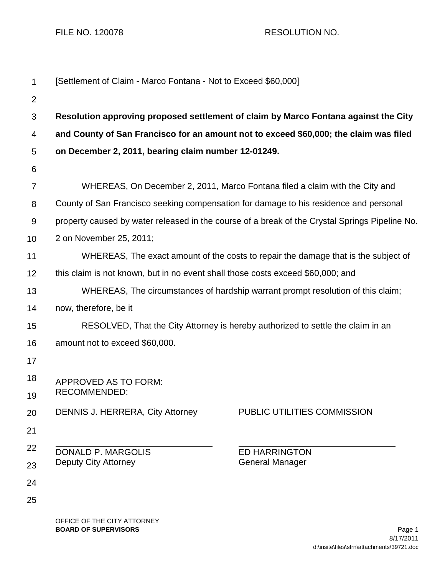FILE NO. 120078 RESOLUTION NO.

| 1              | [Settlement of Claim - Marco Fontana - Not to Exceed \$60,000]                                 |  |  |
|----------------|------------------------------------------------------------------------------------------------|--|--|
| $\overline{2}$ |                                                                                                |  |  |
| 3              | Resolution approving proposed settlement of claim by Marco Fontana against the City            |  |  |
| 4              | and County of San Francisco for an amount not to exceed \$60,000; the claim was filed          |  |  |
| 5              | on December 2, 2011, bearing claim number 12-01249.                                            |  |  |
| 6              |                                                                                                |  |  |
| $\overline{7}$ | WHEREAS, On December 2, 2011, Marco Fontana filed a claim with the City and                    |  |  |
| 8              | County of San Francisco seeking compensation for damage to his residence and personal          |  |  |
| 9              | property caused by water released in the course of a break of the Crystal Springs Pipeline No. |  |  |
| 10             | 2 on November 25, 2011;                                                                        |  |  |
| 11             | WHEREAS, The exact amount of the costs to repair the damage that is the subject of             |  |  |
| 12             | this claim is not known, but in no event shall those costs exceed \$60,000; and                |  |  |
| 13             | WHEREAS, The circumstances of hardship warrant prompt resolution of this claim;                |  |  |
| 14             | now, therefore, be it                                                                          |  |  |
| 15             | RESOLVED, That the City Attorney is hereby authorized to settle the claim in an                |  |  |
| 16             | amount not to exceed \$60,000.                                                                 |  |  |
| 17             |                                                                                                |  |  |
| 18             | <b>APPROVED AS TO FORM:</b>                                                                    |  |  |
| 19             | RECOMMENDED:                                                                                   |  |  |
| 20             | PUBLIC UTILITIES COMMISSION<br><b>DENNIS J. HERRERA, City Attorney</b>                         |  |  |
| 21             |                                                                                                |  |  |
| 22             | <b>DONALD P. MARGOLIS</b><br><b>ED HARRINGTON</b>                                              |  |  |
| 23             | Deputy City Attorney<br><b>General Manager</b>                                                 |  |  |
| 24             |                                                                                                |  |  |
| 25             |                                                                                                |  |  |
|                | OFFICE OF THE CITY ATTORNEY                                                                    |  |  |

**BOARD OF SUPERVISORS** Page 1